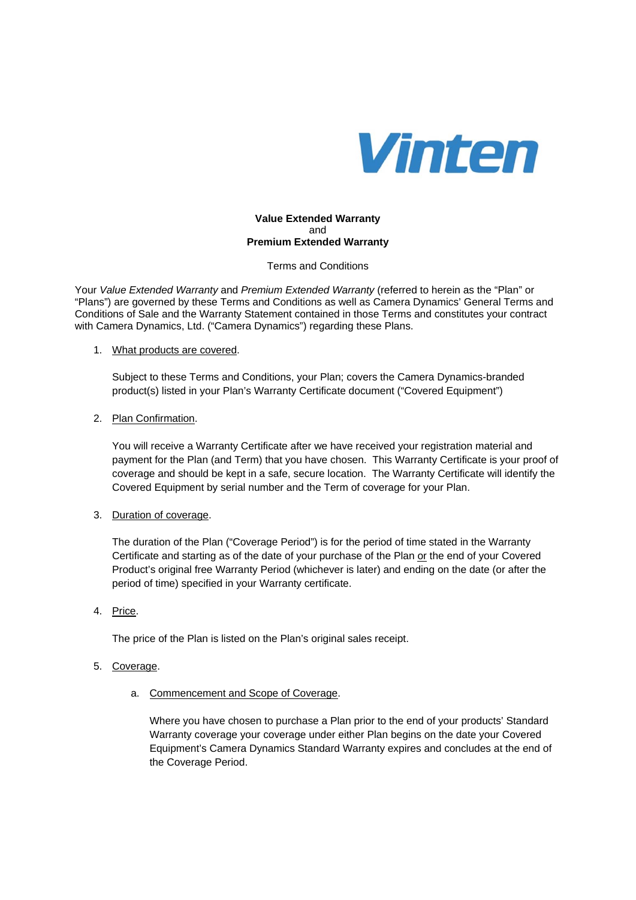

### **Value Extended Warranty**  and **Premium Extended Warranty**

Terms and Conditions

Your *Value Extended Warranty* and *Premium Extended Warranty* (referred to herein as the "Plan" or "Plans") are governed by these Terms and Conditions as well as Camera Dynamics' General Terms and Conditions of Sale and the Warranty Statement contained in those Terms and constitutes your contract with Camera Dynamics, Ltd. ("Camera Dynamics") regarding these Plans.

### 1. What products are covered.

Subject to these Terms and Conditions, your Plan; covers the Camera Dynamics-branded product(s) listed in your Plan's Warranty Certificate document ("Covered Equipment")

### 2. Plan Confirmation.

You will receive a Warranty Certificate after we have received your registration material and payment for the Plan (and Term) that you have chosen. This Warranty Certificate is your proof of coverage and should be kept in a safe, secure location. The Warranty Certificate will identify the Covered Equipment by serial number and the Term of coverage for your Plan.

# 3. Duration of coverage.

The duration of the Plan ("Coverage Period") is for the period of time stated in the Warranty Certificate and starting as of the date of your purchase of the Plan or the end of your Covered Product's original free Warranty Period (whichever is later) and ending on the date (or after the period of time) specified in your Warranty certificate.

4. Price.

The price of the Plan is listed on the Plan's original sales receipt.

# 5. Coverage.

a. Commencement and Scope of Coverage.

Where you have chosen to purchase a Plan prior to the end of your products' Standard Warranty coverage your coverage under either Plan begins on the date your Covered Equipment's Camera Dynamics Standard Warranty expires and concludes at the end of the Coverage Period.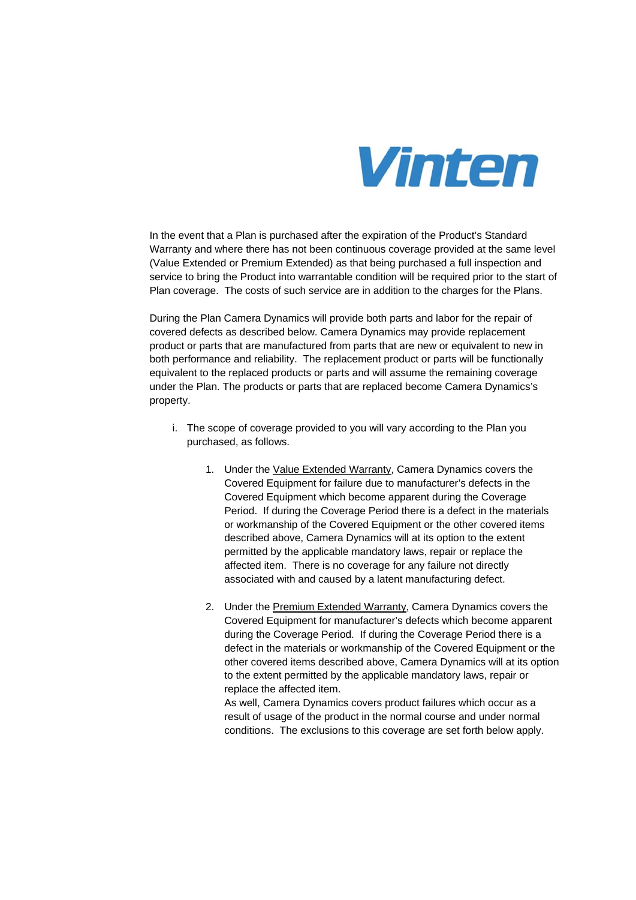

In the event that a Plan is purchased after the expiration of the Product's Standard Warranty and where there has not been continuous coverage provided at the same level (Value Extended or Premium Extended) as that being purchased a full inspection and service to bring the Product into warrantable condition will be required prior to the start of Plan coverage. The costs of such service are in addition to the charges for the Plans.

During the Plan Camera Dynamics will provide both parts and labor for the repair of covered defects as described below. Camera Dynamics may provide replacement product or parts that are manufactured from parts that are new or equivalent to new in both performance and reliability. The replacement product or parts will be functionally equivalent to the replaced products or parts and will assume the remaining coverage under the Plan. The products or parts that are replaced become Camera Dynamics's property.

- i. The scope of coverage provided to you will vary according to the Plan you purchased, as follows.
	- 1. Under the Value Extended Warranty, Camera Dynamics covers the Covered Equipment for failure due to manufacturer's defects in the Covered Equipment which become apparent during the Coverage Period. If during the Coverage Period there is a defect in the materials or workmanship of the Covered Equipment or the other covered items described above, Camera Dynamics will at its option to the extent permitted by the applicable mandatory laws, repair or replace the affected item. There is no coverage for any failure not directly associated with and caused by a latent manufacturing defect.
	- 2. Under the Premium Extended Warranty, Camera Dynamics covers the Covered Equipment for manufacturer's defects which become apparent during the Coverage Period. If during the Coverage Period there is a defect in the materials or workmanship of the Covered Equipment or the other covered items described above, Camera Dynamics will at its option to the extent permitted by the applicable mandatory laws, repair or replace the affected item.

As well, Camera Dynamics covers product failures which occur as a result of usage of the product in the normal course and under normal conditions. The exclusions to this coverage are set forth below apply.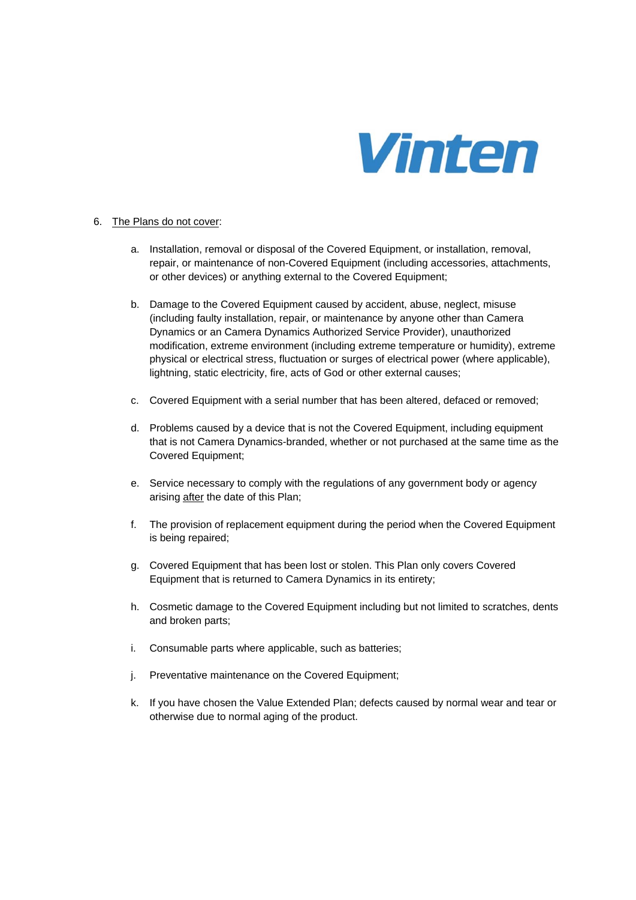

### 6. The Plans do not cover:

- a. Installation, removal or disposal of the Covered Equipment, or installation, removal, repair, or maintenance of non-Covered Equipment (including accessories, attachments, or other devices) or anything external to the Covered Equipment;
- b. Damage to the Covered Equipment caused by accident, abuse, neglect, misuse (including faulty installation, repair, or maintenance by anyone other than Camera Dynamics or an Camera Dynamics Authorized Service Provider), unauthorized modification, extreme environment (including extreme temperature or humidity), extreme physical or electrical stress, fluctuation or surges of electrical power (where applicable), lightning, static electricity, fire, acts of God or other external causes;
- c. Covered Equipment with a serial number that has been altered, defaced or removed;
- d. Problems caused by a device that is not the Covered Equipment, including equipment that is not Camera Dynamics-branded, whether or not purchased at the same time as the Covered Equipment;
- e. Service necessary to comply with the regulations of any government body or agency arising after the date of this Plan;
- f. The provision of replacement equipment during the period when the Covered Equipment is being repaired;
- g. Covered Equipment that has been lost or stolen. This Plan only covers Covered Equipment that is returned to Camera Dynamics in its entirety;
- h. Cosmetic damage to the Covered Equipment including but not limited to scratches, dents and broken parts;
- i. Consumable parts where applicable, such as batteries;
- j. Preventative maintenance on the Covered Equipment:
- k. If you have chosen the Value Extended Plan; defects caused by normal wear and tear or otherwise due to normal aging of the product.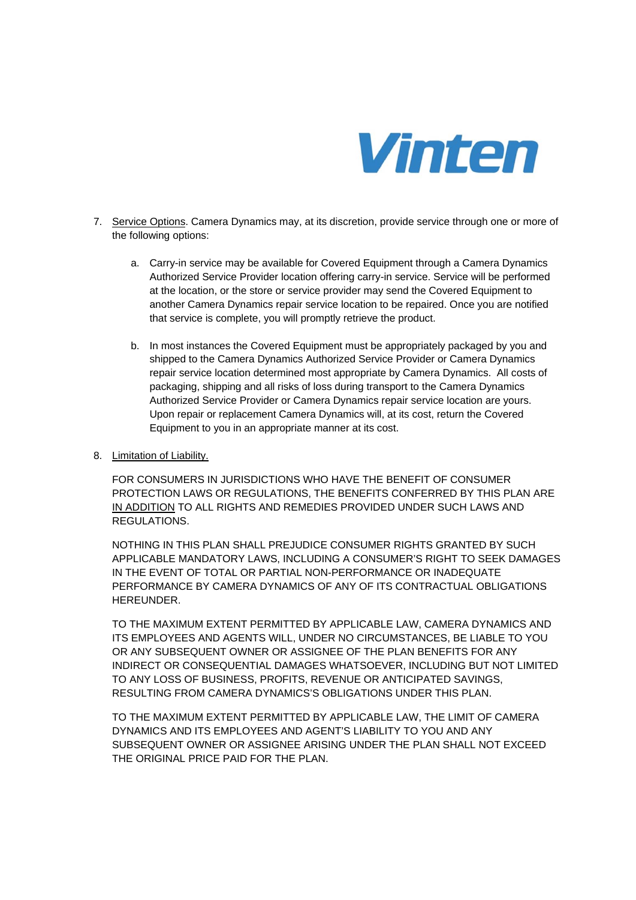

- 7. Service Options. Camera Dynamics may, at its discretion, provide service through one or more of the following options:
	- a. Carry-in service may be available for Covered Equipment through a Camera Dynamics Authorized Service Provider location offering carry-in service. Service will be performed at the location, or the store or service provider may send the Covered Equipment to another Camera Dynamics repair service location to be repaired. Once you are notified that service is complete, you will promptly retrieve the product.
	- b. In most instances the Covered Equipment must be appropriately packaged by you and shipped to the Camera Dynamics Authorized Service Provider or Camera Dynamics repair service location determined most appropriate by Camera Dynamics. All costs of packaging, shipping and all risks of loss during transport to the Camera Dynamics Authorized Service Provider or Camera Dynamics repair service location are yours. Upon repair or replacement Camera Dynamics will, at its cost, return the Covered Equipment to you in an appropriate manner at its cost.
- 8. Limitation of Liability.

FOR CONSUMERS IN JURISDICTIONS WHO HAVE THE BENEFIT OF CONSUMER PROTECTION LAWS OR REGULATIONS, THE BENEFITS CONFERRED BY THIS PLAN ARE IN ADDITION TO ALL RIGHTS AND REMEDIES PROVIDED UNDER SUCH LAWS AND REGULATIONS.

NOTHING IN THIS PLAN SHALL PREJUDICE CONSUMER RIGHTS GRANTED BY SUCH APPLICABLE MANDATORY LAWS, INCLUDING A CONSUMER'S RIGHT TO SEEK DAMAGES IN THE EVENT OF TOTAL OR PARTIAL NON-PERFORMANCE OR INADEQUATE PERFORMANCE BY CAMERA DYNAMICS OF ANY OF ITS CONTRACTUAL OBLIGATIONS HEREUNDER.

TO THE MAXIMUM EXTENT PERMITTED BY APPLICABLE LAW, CAMERA DYNAMICS AND ITS EMPLOYEES AND AGENTS WILL, UNDER NO CIRCUMSTANCES, BE LIABLE TO YOU OR ANY SUBSEQUENT OWNER OR ASSIGNEE OF THE PLAN BENEFITS FOR ANY INDIRECT OR CONSEQUENTIAL DAMAGES WHATSOEVER, INCLUDING BUT NOT LIMITED TO ANY LOSS OF BUSINESS, PROFITS, REVENUE OR ANTICIPATED SAVINGS, RESULTING FROM CAMERA DYNAMICS'S OBLIGATIONS UNDER THIS PLAN.

TO THE MAXIMUM EXTENT PERMITTED BY APPLICABLE LAW, THE LIMIT OF CAMERA DYNAMICS AND ITS EMPLOYEES AND AGENT'S LIABILITY TO YOU AND ANY SUBSEQUENT OWNER OR ASSIGNEE ARISING UNDER THE PLAN SHALL NOT EXCEED THE ORIGINAL PRICE PAID FOR THE PLAN.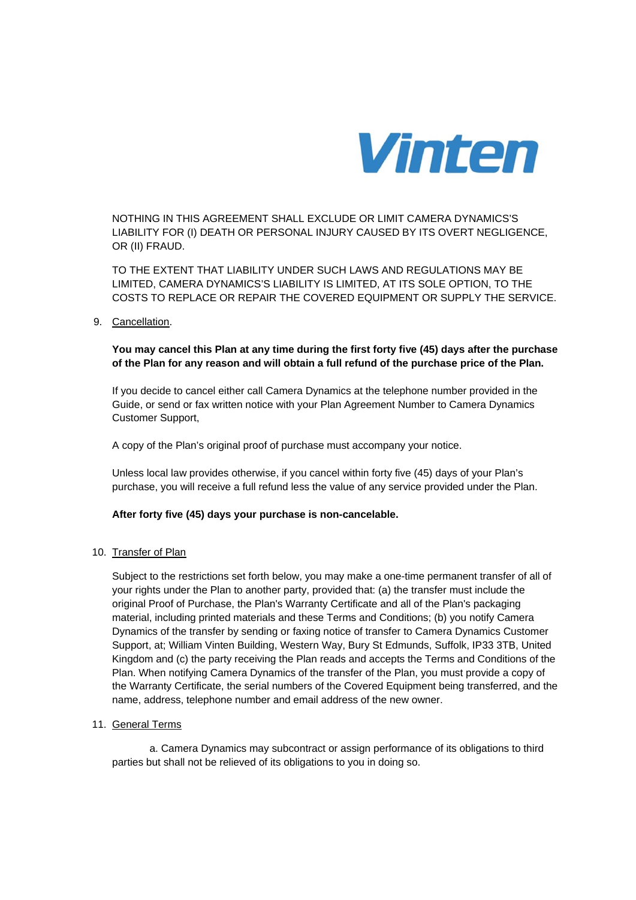

NOTHING IN THIS AGREEMENT SHALL EXCLUDE OR LIMIT CAMERA DYNAMICS'S LIABILITY FOR (I) DEATH OR PERSONAL INJURY CAUSED BY ITS OVERT NEGLIGENCE, OR (II) FRAUD.

TO THE EXTENT THAT LIABILITY UNDER SUCH LAWS AND REGULATIONS MAY BE LIMITED, CAMERA DYNAMICS'S LIABILITY IS LIMITED, AT ITS SOLE OPTION, TO THE COSTS TO REPLACE OR REPAIR THE COVERED EQUIPMENT OR SUPPLY THE SERVICE.

### 9. Cancellation.

## **You may cancel this Plan at any time during the first forty five (45) days after the purchase of the Plan for any reason and will obtain a full refund of the purchase price of the Plan.**

If you decide to cancel either call Camera Dynamics at the telephone number provided in the Guide, or send or fax written notice with your Plan Agreement Number to Camera Dynamics Customer Support,

A copy of the Plan's original proof of purchase must accompany your notice.

Unless local law provides otherwise, if you cancel within forty five (45) days of your Plan's purchase, you will receive a full refund less the value of any service provided under the Plan.

### **After forty five (45) days your purchase is non-cancelable.**

### 10. Transfer of Plan

Subject to the restrictions set forth below, you may make a one-time permanent transfer of all of your rights under the Plan to another party, provided that: (a) the transfer must include the original Proof of Purchase, the Plan's Warranty Certificate and all of the Plan's packaging material, including printed materials and these Terms and Conditions; (b) you notify Camera Dynamics of the transfer by sending or faxing notice of transfer to Camera Dynamics Customer Support, at; William Vinten Building, Western Way, Bury St Edmunds, Suffolk, IP33 3TB, United Kingdom and (c) the party receiving the Plan reads and accepts the Terms and Conditions of the Plan. When notifying Camera Dynamics of the transfer of the Plan, you must provide a copy of the Warranty Certificate, the serial numbers of the Covered Equipment being transferred, and the name, address, telephone number and email address of the new owner.

### 11. General Terms

a. Camera Dynamics may subcontract or assign performance of its obligations to third parties but shall not be relieved of its obligations to you in doing so.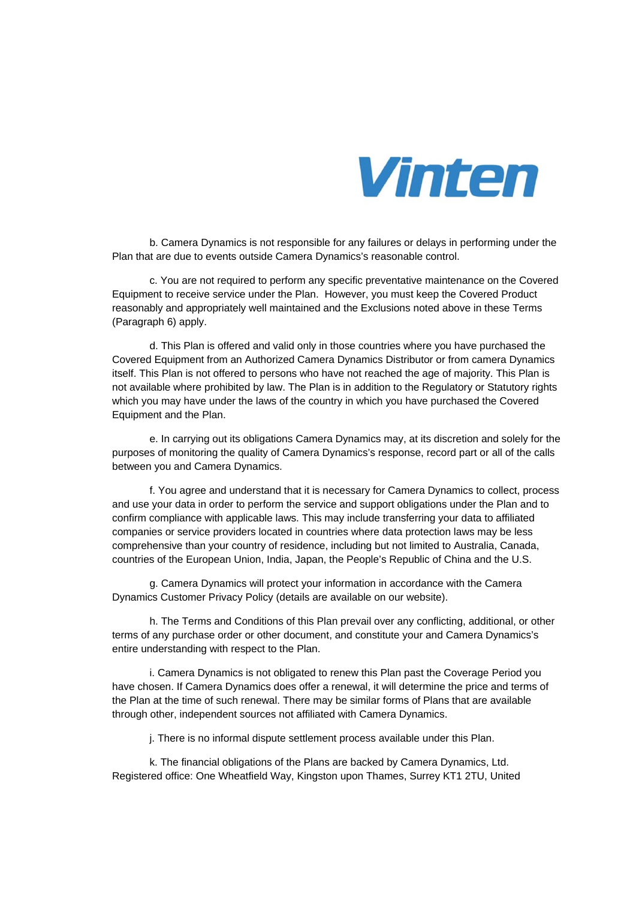

b. Camera Dynamics is not responsible for any failures or delays in performing under the Plan that are due to events outside Camera Dynamics's reasonable control.

c. You are not required to perform any specific preventative maintenance on the Covered Equipment to receive service under the Plan. However, you must keep the Covered Product reasonably and appropriately well maintained and the Exclusions noted above in these Terms (Paragraph 6) apply.

d. This Plan is offered and valid only in those countries where you have purchased the Covered Equipment from an Authorized Camera Dynamics Distributor or from camera Dynamics itself. This Plan is not offered to persons who have not reached the age of majority. This Plan is not available where prohibited by law. The Plan is in addition to the Regulatory or Statutory rights which you may have under the laws of the country in which you have purchased the Covered Equipment and the Plan.

e. In carrying out its obligations Camera Dynamics may, at its discretion and solely for the purposes of monitoring the quality of Camera Dynamics's response, record part or all of the calls between you and Camera Dynamics.

f. You agree and understand that it is necessary for Camera Dynamics to collect, process and use your data in order to perform the service and support obligations under the Plan and to confirm compliance with applicable laws. This may include transferring your data to affiliated companies or service providers located in countries where data protection laws may be less comprehensive than your country of residence, including but not limited to Australia, Canada, countries of the European Union, India, Japan, the People's Republic of China and the U.S.

g. Camera Dynamics will protect your information in accordance with the Camera Dynamics Customer Privacy Policy (details are available on our website).

h. The Terms and Conditions of this Plan prevail over any conflicting, additional, or other terms of any purchase order or other document, and constitute your and Camera Dynamics's entire understanding with respect to the Plan.

i. Camera Dynamics is not obligated to renew this Plan past the Coverage Period you have chosen. If Camera Dynamics does offer a renewal, it will determine the price and terms of the Plan at the time of such renewal. There may be similar forms of Plans that are available through other, independent sources not affiliated with Camera Dynamics.

j. There is no informal dispute settlement process available under this Plan.

k. The financial obligations of the Plans are backed by Camera Dynamics, Ltd. Registered office: One Wheatfield Way, Kingston upon Thames, Surrey KT1 2TU, United